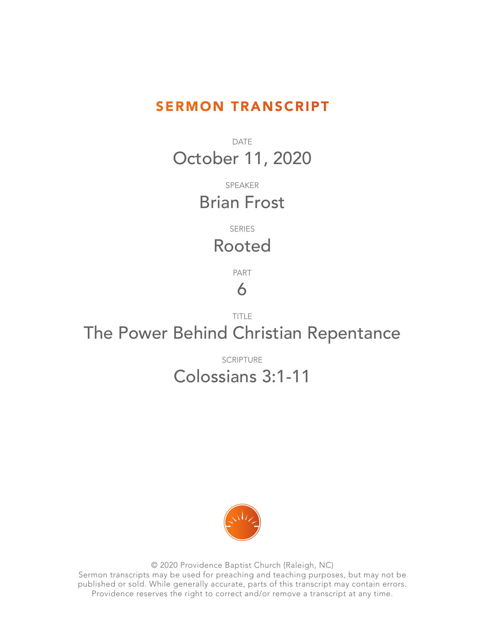## SERMON TRANSCRIPT

DATE October 11, 2020

> SPEAKER Brian Frost

> > SERIES

## Rooted

PART

## 6

TITLE The Power Behind Christian Repentance

> SCRIPTURE Colossians 3:1-11



© 2020 Providence Baptist Church (Raleigh, NC) Sermon transcripts may be used for preaching and teaching purposes, but may not be published or sold. While generally accurate, parts of this transcript may contain errors. Providence reserves the right to correct and/or remove a transcript at any time.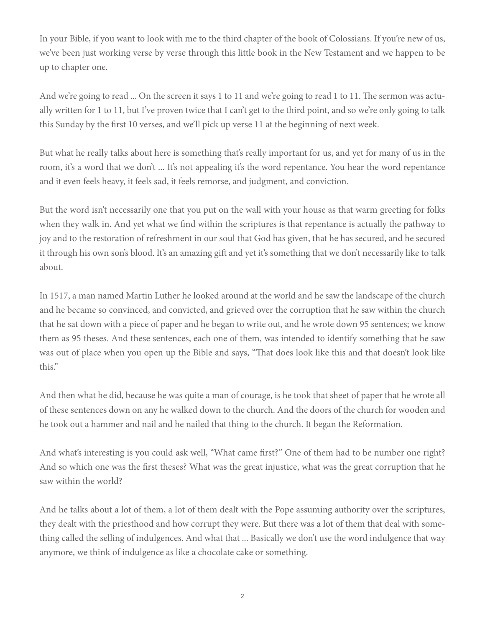In your Bible, if you want to look with me to the third chapter of the book of Colossians. If you're new of us, we've been just working verse by verse through this little book in the New Testament and we happen to be up to chapter one.

And we're going to read ... On the screen it says 1 to 11 and we're going to read 1 to 11. The sermon was actually written for 1 to 11, but I've proven twice that I can't get to the third point, and so we're only going to talk this Sunday by the first 10 verses, and we'll pick up verse 11 at the beginning of next week.

But what he really talks about here is something that's really important for us, and yet for many of us in the room, it's a word that we don't ... It's not appealing it's the word repentance. You hear the word repentance and it even feels heavy, it feels sad, it feels remorse, and judgment, and conviction.

But the word isn't necessarily one that you put on the wall with your house as that warm greeting for folks when they walk in. And yet what we find within the scriptures is that repentance is actually the pathway to joy and to the restoration of refreshment in our soul that God has given, that he has secured, and he secured it through his own son's blood. It's an amazing gift and yet it's something that we don't necessarily like to talk about.

In 1517, a man named Martin Luther he looked around at the world and he saw the landscape of the church and he became so convinced, and convicted, and grieved over the corruption that he saw within the church that he sat down with a piece of paper and he began to write out, and he wrote down 95 sentences; we know them as 95 theses. And these sentences, each one of them, was intended to identify something that he saw was out of place when you open up the Bible and says, "That does look like this and that doesn't look like this."

And then what he did, because he was quite a man of courage, is he took that sheet of paper that he wrote all of these sentences down on any he walked down to the church. And the doors of the church for wooden and he took out a hammer and nail and he nailed that thing to the church. It began the Reformation.

And what's interesting is you could ask well, "What came first?" One of them had to be number one right? And so which one was the first theses? What was the great injustice, what was the great corruption that he saw within the world?

And he talks about a lot of them, a lot of them dealt with the Pope assuming authority over the scriptures, they dealt with the priesthood and how corrupt they were. But there was a lot of them that deal with something called the selling of indulgences. And what that ... Basically we don't use the word indulgence that way anymore, we think of indulgence as like a chocolate cake or something.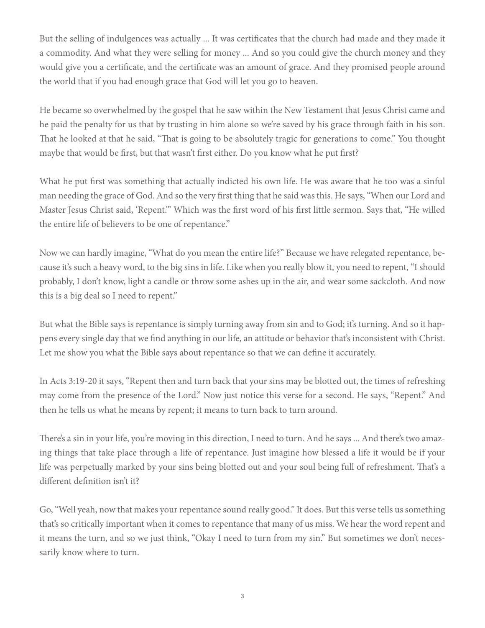But the selling of indulgences was actually ... It was certificates that the church had made and they made it a commodity. And what they were selling for money ... And so you could give the church money and they would give you a certificate, and the certificate was an amount of grace. And they promised people around the world that if you had enough grace that God will let you go to heaven.

He became so overwhelmed by the gospel that he saw within the New Testament that Jesus Christ came and he paid the penalty for us that by trusting in him alone so we're saved by his grace through faith in his son. That he looked at that he said, "That is going to be absolutely tragic for generations to come." You thought maybe that would be first, but that wasn't first either. Do you know what he put first?

What he put first was something that actually indicted his own life. He was aware that he too was a sinful man needing the grace of God. And so the very first thing that he said was this. He says, "When our Lord and Master Jesus Christ said, 'Repent.'" Which was the first word of his first little sermon. Says that, "He willed the entire life of believers to be one of repentance."

Now we can hardly imagine, "What do you mean the entire life?" Because we have relegated repentance, because it's such a heavy word, to the big sins in life. Like when you really blow it, you need to repent, "I should probably, I don't know, light a candle or throw some ashes up in the air, and wear some sackcloth. And now this is a big deal so I need to repent."

But what the Bible says is repentance is simply turning away from sin and to God; it's turning. And so it happens every single day that we find anything in our life, an attitude or behavior that's inconsistent with Christ. Let me show you what the Bible says about repentance so that we can define it accurately.

In Acts 3:19-20 it says, "Repent then and turn back that your sins may be blotted out, the times of refreshing may come from the presence of the Lord." Now just notice this verse for a second. He says, "Repent." And then he tells us what he means by repent; it means to turn back to turn around.

There's a sin in your life, you're moving in this direction, I need to turn. And he says ... And there's two amazing things that take place through a life of repentance. Just imagine how blessed a life it would be if your life was perpetually marked by your sins being blotted out and your soul being full of refreshment. That's a different definition isn't it?

Go, "Well yeah, now that makes your repentance sound really good." It does. But this verse tells us something that's so critically important when it comes to repentance that many of us miss. We hear the word repent and it means the turn, and so we just think, "Okay I need to turn from my sin." But sometimes we don't necessarily know where to turn.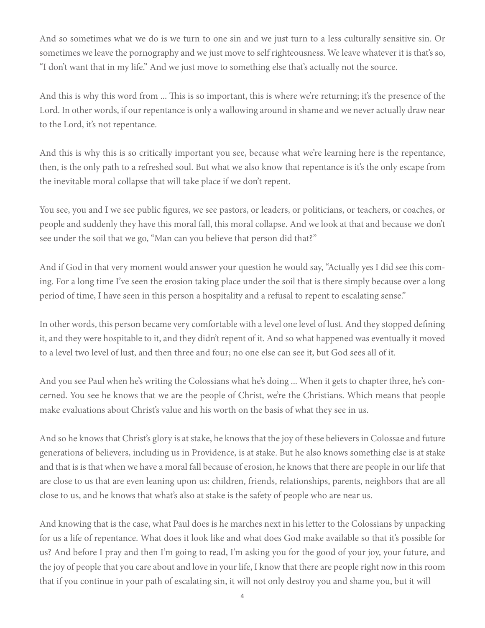And so sometimes what we do is we turn to one sin and we just turn to a less culturally sensitive sin. Or sometimes we leave the pornography and we just move to self righteousness. We leave whatever it is that's so, "I don't want that in my life." And we just move to something else that's actually not the source.

And this is why this word from ... This is so important, this is where we're returning; it's the presence of the Lord. In other words, if our repentance is only a wallowing around in shame and we never actually draw near to the Lord, it's not repentance.

And this is why this is so critically important you see, because what we're learning here is the repentance, then, is the only path to a refreshed soul. But what we also know that repentance is it's the only escape from the inevitable moral collapse that will take place if we don't repent.

You see, you and I we see public figures, we see pastors, or leaders, or politicians, or teachers, or coaches, or people and suddenly they have this moral fall, this moral collapse. And we look at that and because we don't see under the soil that we go, "Man can you believe that person did that?"

And if God in that very moment would answer your question he would say, "Actually yes I did see this coming. For a long time I've seen the erosion taking place under the soil that is there simply because over a long period of time, I have seen in this person a hospitality and a refusal to repent to escalating sense."

In other words, this person became very comfortable with a level one level of lust. And they stopped defining it, and they were hospitable to it, and they didn't repent of it. And so what happened was eventually it moved to a level two level of lust, and then three and four; no one else can see it, but God sees all of it.

And you see Paul when he's writing the Colossians what he's doing ... When it gets to chapter three, he's concerned. You see he knows that we are the people of Christ, we're the Christians. Which means that people make evaluations about Christ's value and his worth on the basis of what they see in us.

And so he knows that Christ's glory is at stake, he knows that the joy of these believers in Colossae and future generations of believers, including us in Providence, is at stake. But he also knows something else is at stake and that is is that when we have a moral fall because of erosion, he knows that there are people in our life that are close to us that are even leaning upon us: children, friends, relationships, parents, neighbors that are all close to us, and he knows that what's also at stake is the safety of people who are near us.

And knowing that is the case, what Paul does is he marches next in his letter to the Colossians by unpacking for us a life of repentance. What does it look like and what does God make available so that it's possible for us? And before I pray and then I'm going to read, I'm asking you for the good of your joy, your future, and the joy of people that you care about and love in your life, I know that there are people right now in this room that if you continue in your path of escalating sin, it will not only destroy you and shame you, but it will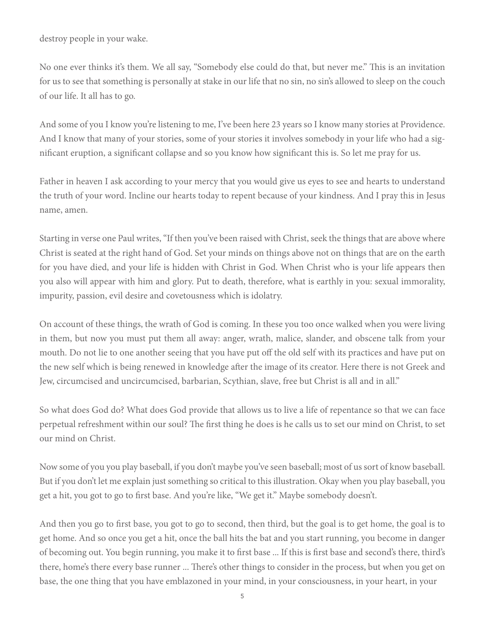destroy people in your wake.

No one ever thinks it's them. We all say, "Somebody else could do that, but never me." This is an invitation for us to see that something is personally at stake in our life that no sin, no sin's allowed to sleep on the couch of our life. It all has to go.

And some of you I know you're listening to me, I've been here 23 years so I know many stories at Providence. And I know that many of your stories, some of your stories it involves somebody in your life who had a significant eruption, a significant collapse and so you know how significant this is. So let me pray for us.

Father in heaven I ask according to your mercy that you would give us eyes to see and hearts to understand the truth of your word. Incline our hearts today to repent because of your kindness. And I pray this in Jesus name, amen.

Starting in verse one Paul writes, "If then you've been raised with Christ, seek the things that are above where Christ is seated at the right hand of God. Set your minds on things above not on things that are on the earth for you have died, and your life is hidden with Christ in God. When Christ who is your life appears then you also will appear with him and glory. Put to death, therefore, what is earthly in you: sexual immorality, impurity, passion, evil desire and covetousness which is idolatry.

On account of these things, the wrath of God is coming. In these you too once walked when you were living in them, but now you must put them all away: anger, wrath, malice, slander, and obscene talk from your mouth. Do not lie to one another seeing that you have put off the old self with its practices and have put on the new self which is being renewed in knowledge after the image of its creator. Here there is not Greek and Jew, circumcised and uncircumcised, barbarian, Scythian, slave, free but Christ is all and in all."

So what does God do? What does God provide that allows us to live a life of repentance so that we can face perpetual refreshment within our soul? The first thing he does is he calls us to set our mind on Christ, to set our mind on Christ.

Now some of you you play baseball, if you don't maybe you've seen baseball; most of us sort of know baseball. But if you don't let me explain just something so critical to this illustration. Okay when you play baseball, you get a hit, you got to go to first base. And you're like, "We get it." Maybe somebody doesn't.

And then you go to first base, you got to go to second, then third, but the goal is to get home, the goal is to get home. And so once you get a hit, once the ball hits the bat and you start running, you become in danger of becoming out. You begin running, you make it to first base ... If this is first base and second's there, third's there, home's there every base runner ... There's other things to consider in the process, but when you get on base, the one thing that you have emblazoned in your mind, in your consciousness, in your heart, in your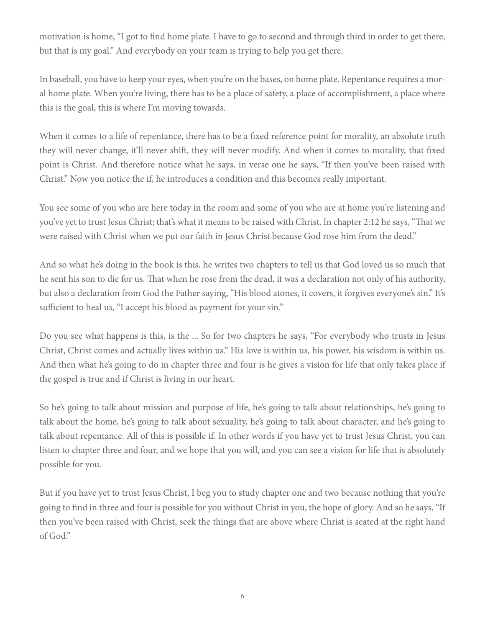motivation is home, "I got to find home plate. I have to go to second and through third in order to get there, but that is my goal." And everybody on your team is trying to help you get there.

In baseball, you have to keep your eyes, when you're on the bases, on home plate. Repentance requires a moral home plate. When you're living, there has to be a place of safety, a place of accomplishment, a place where this is the goal, this is where I'm moving towards.

When it comes to a life of repentance, there has to be a fixed reference point for morality, an absolute truth they will never change, it'll never shift, they will never modify. And when it comes to morality, that fixed point is Christ. And therefore notice what he says, in verse one he says, "If then you've been raised with Christ." Now you notice the if, he introduces a condition and this becomes really important.

You see some of you who are here today in the room and some of you who are at home you're listening and you've yet to trust Jesus Christ; that's what it means to be raised with Christ. In chapter 2:12 he says, "That we were raised with Christ when we put our faith in Jesus Christ because God rose him from the dead."

And so what he's doing in the book is this, he writes two chapters to tell us that God loved us so much that he sent his son to die for us. That when he rose from the dead, it was a declaration not only of his authority, but also a declaration from God the Father saying, "His blood atones, it covers, it forgives everyone's sin." It's sufficient to heal us, "I accept his blood as payment for your sin."

Do you see what happens is this, is the ... So for two chapters he says, "For everybody who trusts in Jesus Christ, Christ comes and actually lives within us." His love is within us, his power, his wisdom is within us. And then what he's going to do in chapter three and four is he gives a vision for life that only takes place if the gospel is true and if Christ is living in our heart.

So he's going to talk about mission and purpose of life, he's going to talk about relationships, he's going to talk about the home, he's going to talk about sexuality, he's going to talk about character, and he's going to talk about repentance. All of this is possible if. In other words if you have yet to trust Jesus Christ, you can listen to chapter three and four, and we hope that you will, and you can see a vision for life that is absolutely possible for you.

But if you have yet to trust Jesus Christ, I beg you to study chapter one and two because nothing that you're going to find in three and four is possible for you without Christ in you, the hope of glory. And so he says, "If then you've been raised with Christ, seek the things that are above where Christ is seated at the right hand of God."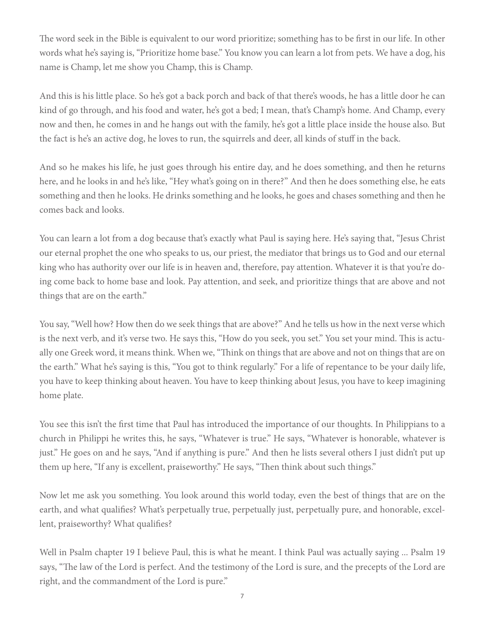The word seek in the Bible is equivalent to our word prioritize; something has to be first in our life. In other words what he's saying is, "Prioritize home base." You know you can learn a lot from pets. We have a dog, his name is Champ, let me show you Champ, this is Champ.

And this is his little place. So he's got a back porch and back of that there's woods, he has a little door he can kind of go through, and his food and water, he's got a bed; I mean, that's Champ's home. And Champ, every now and then, he comes in and he hangs out with the family, he's got a little place inside the house also. But the fact is he's an active dog, he loves to run, the squirrels and deer, all kinds of stuff in the back.

And so he makes his life, he just goes through his entire day, and he does something, and then he returns here, and he looks in and he's like, "Hey what's going on in there?" And then he does something else, he eats something and then he looks. He drinks something and he looks, he goes and chases something and then he comes back and looks.

You can learn a lot from a dog because that's exactly what Paul is saying here. He's saying that, "Jesus Christ our eternal prophet the one who speaks to us, our priest, the mediator that brings us to God and our eternal king who has authority over our life is in heaven and, therefore, pay attention. Whatever it is that you're doing come back to home base and look. Pay attention, and seek, and prioritize things that are above and not things that are on the earth."

You say, "Well how? How then do we seek things that are above?" And he tells us how in the next verse which is the next verb, and it's verse two. He says this, "How do you seek, you set." You set your mind. This is actually one Greek word, it means think. When we, "Think on things that are above and not on things that are on the earth." What he's saying is this, "You got to think regularly." For a life of repentance to be your daily life, you have to keep thinking about heaven. You have to keep thinking about Jesus, you have to keep imagining home plate.

You see this isn't the first time that Paul has introduced the importance of our thoughts. In Philippians to a church in Philippi he writes this, he says, "Whatever is true." He says, "Whatever is honorable, whatever is just." He goes on and he says, "And if anything is pure." And then he lists several others I just didn't put up them up here, "If any is excellent, praiseworthy." He says, "Then think about such things."

Now let me ask you something. You look around this world today, even the best of things that are on the earth, and what qualifies? What's perpetually true, perpetually just, perpetually pure, and honorable, excellent, praiseworthy? What qualifies?

Well in Psalm chapter 19 I believe Paul, this is what he meant. I think Paul was actually saying ... Psalm 19 says, "The law of the Lord is perfect. And the testimony of the Lord is sure, and the precepts of the Lord are right, and the commandment of the Lord is pure."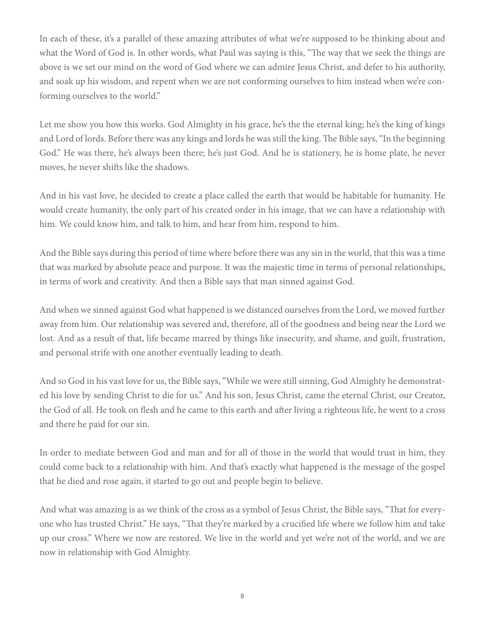In each of these, it's a parallel of these amazing attributes of what we're supposed to be thinking about and what the Word of God is. In other words, what Paul was saying is this, "The way that we seek the things are above is we set our mind on the word of God where we can admire Jesus Christ, and defer to his authority, and soak up his wisdom, and repent when we are not conforming ourselves to him instead when we're conforming ourselves to the world."

Let me show you how this works. God Almighty in his grace, he's the the eternal king; he's the king of kings and Lord of lords. Before there was any kings and lords he was still the king. The Bible says, "In the beginning God." He was there, he's always been there; he's just God. And he is stationery, he is home plate, he never moves, he never shifts like the shadows.

And in his vast love, he decided to create a place called the earth that would be habitable for humanity. He would create humanity, the only part of his created order in his image, that we can have a relationship with him. We could know him, and talk to him, and hear from him, respond to him.

And the Bible says during this period of time where before there was any sin in the world, that this was a time that was marked by absolute peace and purpose. It was the majestic time in terms of personal relationships, in terms of work and creativity. And then a Bible says that man sinned against God.

And when we sinned against God what happened is we distanced ourselves from the Lord, we moved further away from him. Our relationship was severed and, therefore, all of the goodness and being near the Lord we lost. And as a result of that, life became marred by things like insecurity, and shame, and guilt, frustration, and personal strife with one another eventually leading to death.

And so God in his vast love for us, the Bible says, "While we were still sinning, God Almighty he demonstrated his love by sending Christ to die for us." And his son, Jesus Christ, came the eternal Christ, our Creator, the God of all. He took on flesh and he came to this earth and after living a righteous life, he went to a cross and there he paid for our sin.

In order to mediate between God and man and for all of those in the world that would trust in him, they could come back to a relationship with him. And that's exactly what happened is the message of the gospel that he died and rose again, it started to go out and people begin to believe.

And what was amazing is as we think of the cross as a symbol of Jesus Christ, the Bible says, "That for everyone who has trusted Christ." He says, "That they're marked by a crucified life where we follow him and take up our cross." Where we now are restored. We live in the world and yet we're not of the world, and we are now in relationship with God Almighty.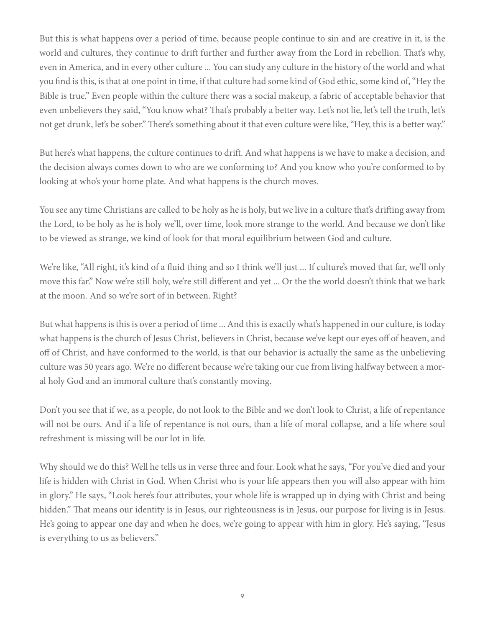But this is what happens over a period of time, because people continue to sin and are creative in it, is the world and cultures, they continue to drift further and further away from the Lord in rebellion. That's why, even in America, and in every other culture ... You can study any culture in the history of the world and what you find is this, is that at one point in time, if that culture had some kind of God ethic, some kind of, "Hey the Bible is true." Even people within the culture there was a social makeup, a fabric of acceptable behavior that even unbelievers they said, "You know what? That's probably a better way. Let's not lie, let's tell the truth, let's not get drunk, let's be sober." There's something about it that even culture were like, "Hey, this is a better way."

But here's what happens, the culture continues to drift. And what happens is we have to make a decision, and the decision always comes down to who are we conforming to? And you know who you're conformed to by looking at who's your home plate. And what happens is the church moves.

You see any time Christians are called to be holy as he is holy, but we live in a culture that's drifting away from the Lord, to be holy as he is holy we'll, over time, look more strange to the world. And because we don't like to be viewed as strange, we kind of look for that moral equilibrium between God and culture.

We're like, "All right, it's kind of a fluid thing and so I think we'll just ... If culture's moved that far, we'll only move this far." Now we're still holy, we're still different and yet ... Or the the world doesn't think that we bark at the moon. And so we're sort of in between. Right?

But what happens is this is over a period of time ... And this is exactly what's happened in our culture, is today what happens is the church of Jesus Christ, believers in Christ, because we've kept our eyes off of heaven, and off of Christ, and have conformed to the world, is that our behavior is actually the same as the unbelieving culture was 50 years ago. We're no different because we're taking our cue from living halfway between a moral holy God and an immoral culture that's constantly moving.

Don't you see that if we, as a people, do not look to the Bible and we don't look to Christ, a life of repentance will not be ours. And if a life of repentance is not ours, than a life of moral collapse, and a life where soul refreshment is missing will be our lot in life.

Why should we do this? Well he tells us in verse three and four. Look what he says, "For you've died and your life is hidden with Christ in God. When Christ who is your life appears then you will also appear with him in glory." He says, "Look here's four attributes, your whole life is wrapped up in dying with Christ and being hidden." That means our identity is in Jesus, our righteousness is in Jesus, our purpose for living is in Jesus. He's going to appear one day and when he does, we're going to appear with him in glory. He's saying, "Jesus is everything to us as believers."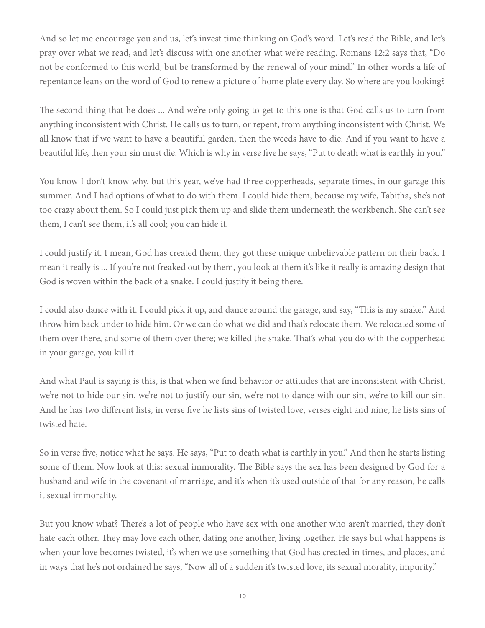And so let me encourage you and us, let's invest time thinking on God's word. Let's read the Bible, and let's pray over what we read, and let's discuss with one another what we're reading. Romans 12:2 says that, "Do not be conformed to this world, but be transformed by the renewal of your mind." In other words a life of repentance leans on the word of God to renew a picture of home plate every day. So where are you looking?

The second thing that he does ... And we're only going to get to this one is that God calls us to turn from anything inconsistent with Christ. He calls us to turn, or repent, from anything inconsistent with Christ. We all know that if we want to have a beautiful garden, then the weeds have to die. And if you want to have a beautiful life, then your sin must die. Which is why in verse five he says, "Put to death what is earthly in you."

You know I don't know why, but this year, we've had three copperheads, separate times, in our garage this summer. And I had options of what to do with them. I could hide them, because my wife, Tabitha, she's not too crazy about them. So I could just pick them up and slide them underneath the workbench. She can't see them, I can't see them, it's all cool; you can hide it.

I could justify it. I mean, God has created them, they got these unique unbelievable pattern on their back. I mean it really is ... If you're not freaked out by them, you look at them it's like it really is amazing design that God is woven within the back of a snake. I could justify it being there.

I could also dance with it. I could pick it up, and dance around the garage, and say, "This is my snake." And throw him back under to hide him. Or we can do what we did and that's relocate them. We relocated some of them over there, and some of them over there; we killed the snake. That's what you do with the copperhead in your garage, you kill it.

And what Paul is saying is this, is that when we find behavior or attitudes that are inconsistent with Christ, we're not to hide our sin, we're not to justify our sin, we're not to dance with our sin, we're to kill our sin. And he has two different lists, in verse five he lists sins of twisted love, verses eight and nine, he lists sins of twisted hate.

So in verse five, notice what he says. He says, "Put to death what is earthly in you." And then he starts listing some of them. Now look at this: sexual immorality. The Bible says the sex has been designed by God for a husband and wife in the covenant of marriage, and it's when it's used outside of that for any reason, he calls it sexual immorality.

But you know what? There's a lot of people who have sex with one another who aren't married, they don't hate each other. They may love each other, dating one another, living together. He says but what happens is when your love becomes twisted, it's when we use something that God has created in times, and places, and in ways that he's not ordained he says, "Now all of a sudden it's twisted love, its sexual morality, impurity."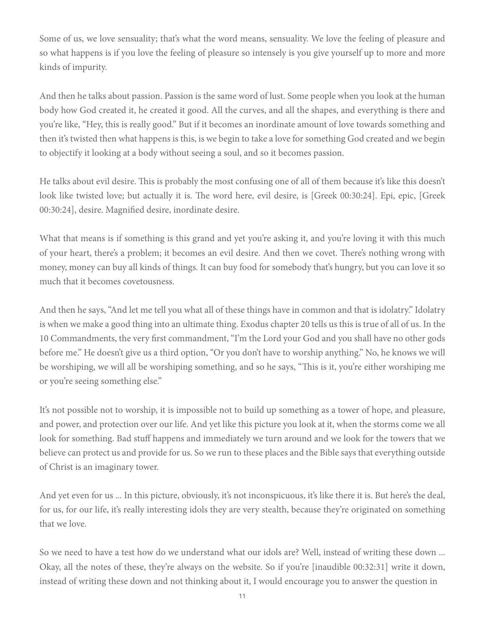Some of us, we love sensuality; that's what the word means, sensuality. We love the feeling of pleasure and so what happens is if you love the feeling of pleasure so intensely is you give yourself up to more and more kinds of impurity.

And then he talks about passion. Passion is the same word of lust. Some people when you look at the human body how God created it, he created it good. All the curves, and all the shapes, and everything is there and you're like, "Hey, this is really good." But if it becomes an inordinate amount of love towards something and then it's twisted then what happens is this, is we begin to take a love for something God created and we begin to objectify it looking at a body without seeing a soul, and so it becomes passion.

He talks about evil desire. This is probably the most confusing one of all of them because it's like this doesn't look like twisted love; but actually it is. The word here, evil desire, is [Greek 00:30:24]. Epi, epic, [Greek 00:30:24], desire. Magnified desire, inordinate desire.

What that means is if something is this grand and yet you're asking it, and you're loving it with this much of your heart, there's a problem; it becomes an evil desire. And then we covet. There's nothing wrong with money, money can buy all kinds of things. It can buy food for somebody that's hungry, but you can love it so much that it becomes covetousness.

And then he says, "And let me tell you what all of these things have in common and that is idolatry." Idolatry is when we make a good thing into an ultimate thing. Exodus chapter 20 tells us this is true of all of us. In the 10 Commandments, the very first commandment, "I'm the Lord your God and you shall have no other gods before me." He doesn't give us a third option, "Or you don't have to worship anything." No, he knows we will be worshiping, we will all be worshiping something, and so he says, "This is it, you're either worshiping me or you're seeing something else."

It's not possible not to worship, it is impossible not to build up something as a tower of hope, and pleasure, and power, and protection over our life. And yet like this picture you look at it, when the storms come we all look for something. Bad stuff happens and immediately we turn around and we look for the towers that we believe can protect us and provide for us. So we run to these places and the Bible says that everything outside of Christ is an imaginary tower.

And yet even for us ... In this picture, obviously, it's not inconspicuous, it's like there it is. But here's the deal, for us, for our life, it's really interesting idols they are very stealth, because they're originated on something that we love.

So we need to have a test how do we understand what our idols are? Well, instead of writing these down ... Okay, all the notes of these, they're always on the website. So if you're [inaudible 00:32:31] write it down, instead of writing these down and not thinking about it, I would encourage you to answer the question in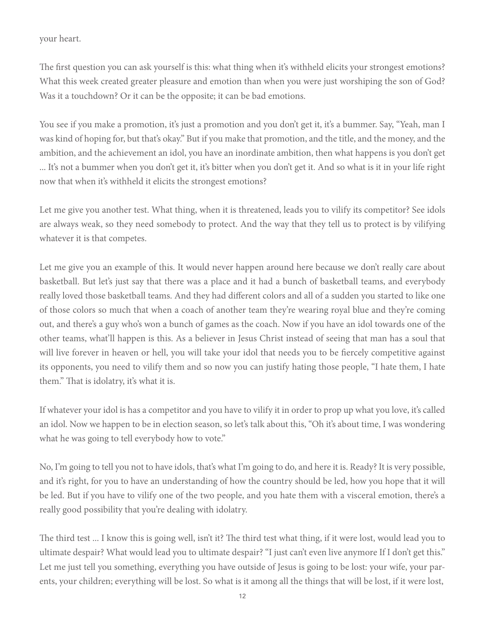your heart.

The first question you can ask yourself is this: what thing when it's withheld elicits your strongest emotions? What this week created greater pleasure and emotion than when you were just worshiping the son of God? Was it a touchdown? Or it can be the opposite; it can be bad emotions.

You see if you make a promotion, it's just a promotion and you don't get it, it's a bummer. Say, "Yeah, man I was kind of hoping for, but that's okay." But if you make that promotion, and the title, and the money, and the ambition, and the achievement an idol, you have an inordinate ambition, then what happens is you don't get ... It's not a bummer when you don't get it, it's bitter when you don't get it. And so what is it in your life right now that when it's withheld it elicits the strongest emotions?

Let me give you another test. What thing, when it is threatened, leads you to vilify its competitor? See idols are always weak, so they need somebody to protect. And the way that they tell us to protect is by vilifying whatever it is that competes.

Let me give you an example of this. It would never happen around here because we don't really care about basketball. But let's just say that there was a place and it had a bunch of basketball teams, and everybody really loved those basketball teams. And they had different colors and all of a sudden you started to like one of those colors so much that when a coach of another team they're wearing royal blue and they're coming out, and there's a guy who's won a bunch of games as the coach. Now if you have an idol towards one of the other teams, what'll happen is this. As a believer in Jesus Christ instead of seeing that man has a soul that will live forever in heaven or hell, you will take your idol that needs you to be fiercely competitive against its opponents, you need to vilify them and so now you can justify hating those people, "I hate them, I hate them." That is idolatry, it's what it is.

If whatever your idol is has a competitor and you have to vilify it in order to prop up what you love, it's called an idol. Now we happen to be in election season, so let's talk about this, "Oh it's about time, I was wondering what he was going to tell everybody how to vote."

No, I'm going to tell you not to have idols, that's what I'm going to do, and here it is. Ready? It is very possible, and it's right, for you to have an understanding of how the country should be led, how you hope that it will be led. But if you have to vilify one of the two people, and you hate them with a visceral emotion, there's a really good possibility that you're dealing with idolatry.

The third test ... I know this is going well, isn't it? The third test what thing, if it were lost, would lead you to ultimate despair? What would lead you to ultimate despair? "I just can't even live anymore If I don't get this." Let me just tell you something, everything you have outside of Jesus is going to be lost: your wife, your parents, your children; everything will be lost. So what is it among all the things that will be lost, if it were lost,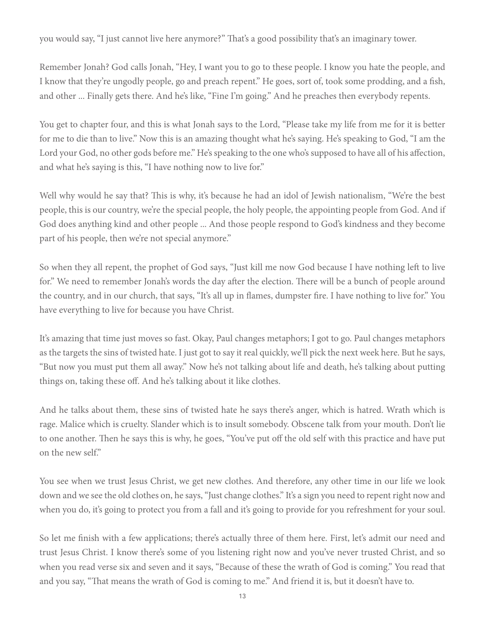you would say, "I just cannot live here anymore?" That's a good possibility that's an imaginary tower.

Remember Jonah? God calls Jonah, "Hey, I want you to go to these people. I know you hate the people, and I know that they're ungodly people, go and preach repent." He goes, sort of, took some prodding, and a fish, and other ... Finally gets there. And he's like, "Fine I'm going." And he preaches then everybody repents.

You get to chapter four, and this is what Jonah says to the Lord, "Please take my life from me for it is better for me to die than to live." Now this is an amazing thought what he's saying. He's speaking to God, "I am the Lord your God, no other gods before me." He's speaking to the one who's supposed to have all of his affection, and what he's saying is this, "I have nothing now to live for."

Well why would he say that? This is why, it's because he had an idol of Jewish nationalism, "We're the best people, this is our country, we're the special people, the holy people, the appointing people from God. And if God does anything kind and other people ... And those people respond to God's kindness and they become part of his people, then we're not special anymore."

So when they all repent, the prophet of God says, "Just kill me now God because I have nothing left to live for." We need to remember Jonah's words the day after the election. There will be a bunch of people around the country, and in our church, that says, "It's all up in flames, dumpster fire. I have nothing to live for." You have everything to live for because you have Christ.

It's amazing that time just moves so fast. Okay, Paul changes metaphors; I got to go. Paul changes metaphors as the targets the sins of twisted hate. I just got to say it real quickly, we'll pick the next week here. But he says, "But now you must put them all away." Now he's not talking about life and death, he's talking about putting things on, taking these off. And he's talking about it like clothes.

And he talks about them, these sins of twisted hate he says there's anger, which is hatred. Wrath which is rage. Malice which is cruelty. Slander which is to insult somebody. Obscene talk from your mouth. Don't lie to one another. Then he says this is why, he goes, "You've put off the old self with this practice and have put on the new self."

You see when we trust Jesus Christ, we get new clothes. And therefore, any other time in our life we look down and we see the old clothes on, he says, "Just change clothes." It's a sign you need to repent right now and when you do, it's going to protect you from a fall and it's going to provide for you refreshment for your soul.

So let me finish with a few applications; there's actually three of them here. First, let's admit our need and trust Jesus Christ. I know there's some of you listening right now and you've never trusted Christ, and so when you read verse six and seven and it says, "Because of these the wrath of God is coming." You read that and you say, "That means the wrath of God is coming to me." And friend it is, but it doesn't have to.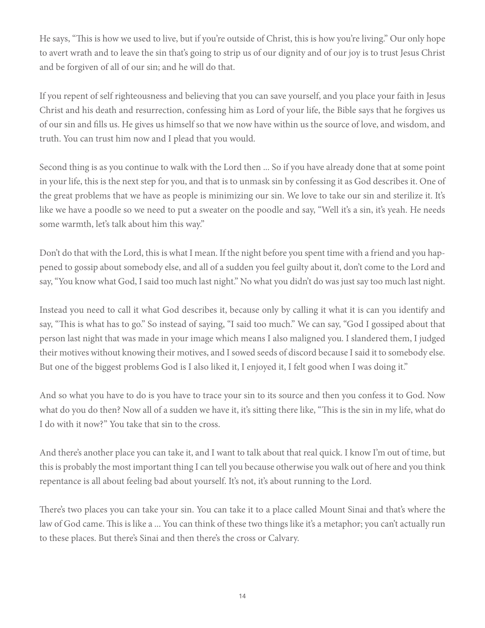He says, "This is how we used to live, but if you're outside of Christ, this is how you're living." Our only hope to avert wrath and to leave the sin that's going to strip us of our dignity and of our joy is to trust Jesus Christ and be forgiven of all of our sin; and he will do that.

If you repent of self righteousness and believing that you can save yourself, and you place your faith in Jesus Christ and his death and resurrection, confessing him as Lord of your life, the Bible says that he forgives us of our sin and fills us. He gives us himself so that we now have within us the source of love, and wisdom, and truth. You can trust him now and I plead that you would.

Second thing is as you continue to walk with the Lord then ... So if you have already done that at some point in your life, this is the next step for you, and that is to unmask sin by confessing it as God describes it. One of the great problems that we have as people is minimizing our sin. We love to take our sin and sterilize it. It's like we have a poodle so we need to put a sweater on the poodle and say, "Well it's a sin, it's yeah. He needs some warmth, let's talk about him this way."

Don't do that with the Lord, this is what I mean. If the night before you spent time with a friend and you happened to gossip about somebody else, and all of a sudden you feel guilty about it, don't come to the Lord and say, "You know what God, I said too much last night." No what you didn't do was just say too much last night.

Instead you need to call it what God describes it, because only by calling it what it is can you identify and say, "This is what has to go." So instead of saying, "I said too much." We can say, "God I gossiped about that person last night that was made in your image which means I also maligned you. I slandered them, I judged their motives without knowing their motives, and I sowed seeds of discord because I said it to somebody else. But one of the biggest problems God is I also liked it, I enjoyed it, I felt good when I was doing it."

And so what you have to do is you have to trace your sin to its source and then you confess it to God. Now what do you do then? Now all of a sudden we have it, it's sitting there like, "This is the sin in my life, what do I do with it now?" You take that sin to the cross.

And there's another place you can take it, and I want to talk about that real quick. I know I'm out of time, but this is probably the most important thing I can tell you because otherwise you walk out of here and you think repentance is all about feeling bad about yourself. It's not, it's about running to the Lord.

There's two places you can take your sin. You can take it to a place called Mount Sinai and that's where the law of God came. This is like a ... You can think of these two things like it's a metaphor; you can't actually run to these places. But there's Sinai and then there's the cross or Calvary.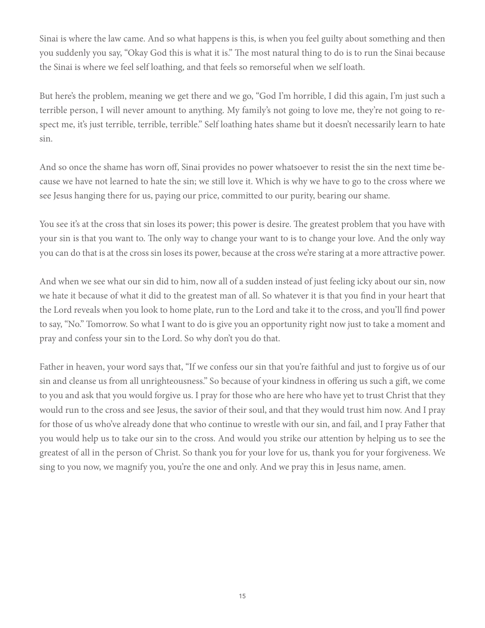Sinai is where the law came. And so what happens is this, is when you feel guilty about something and then you suddenly you say, "Okay God this is what it is." The most natural thing to do is to run the Sinai because the Sinai is where we feel self loathing, and that feels so remorseful when we self loath.

But here's the problem, meaning we get there and we go, "God I'm horrible, I did this again, I'm just such a terrible person, I will never amount to anything. My family's not going to love me, they're not going to respect me, it's just terrible, terrible, terrible." Self loathing hates shame but it doesn't necessarily learn to hate sin.

And so once the shame has worn off, Sinai provides no power whatsoever to resist the sin the next time because we have not learned to hate the sin; we still love it. Which is why we have to go to the cross where we see Jesus hanging there for us, paying our price, committed to our purity, bearing our shame.

You see it's at the cross that sin loses its power; this power is desire. The greatest problem that you have with your sin is that you want to. The only way to change your want to is to change your love. And the only way you can do that is at the cross sin loses its power, because at the cross we're staring at a more attractive power.

And when we see what our sin did to him, now all of a sudden instead of just feeling icky about our sin, now we hate it because of what it did to the greatest man of all. So whatever it is that you find in your heart that the Lord reveals when you look to home plate, run to the Lord and take it to the cross, and you'll find power to say, "No." Tomorrow. So what I want to do is give you an opportunity right now just to take a moment and pray and confess your sin to the Lord. So why don't you do that.

Father in heaven, your word says that, "If we confess our sin that you're faithful and just to forgive us of our sin and cleanse us from all unrighteousness." So because of your kindness in offering us such a gift, we come to you and ask that you would forgive us. I pray for those who are here who have yet to trust Christ that they would run to the cross and see Jesus, the savior of their soul, and that they would trust him now. And I pray for those of us who've already done that who continue to wrestle with our sin, and fail, and I pray Father that you would help us to take our sin to the cross. And would you strike our attention by helping us to see the greatest of all in the person of Christ. So thank you for your love for us, thank you for your forgiveness. We sing to you now, we magnify you, you're the one and only. And we pray this in Jesus name, amen.